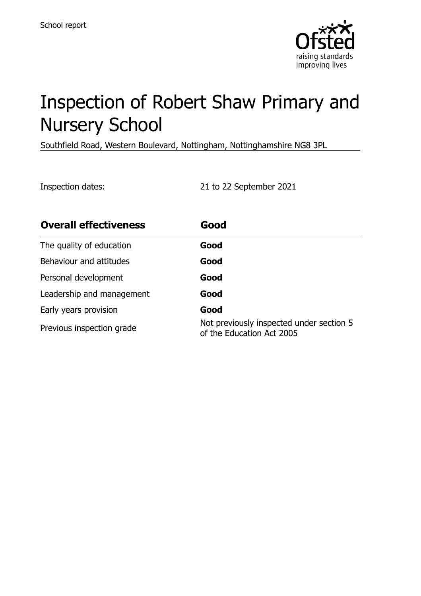

# Inspection of Robert Shaw Primary and Nursery School

Southfield Road, Western Boulevard, Nottingham, Nottinghamshire NG8 3PL

Inspection dates: 21 to 22 September 2021

| <b>Overall effectiveness</b> | Good                                                                  |  |
|------------------------------|-----------------------------------------------------------------------|--|
| The quality of education     | Good                                                                  |  |
| Behaviour and attitudes      | Good                                                                  |  |
| Personal development         | Good                                                                  |  |
| Leadership and management    | Good                                                                  |  |
| Early years provision        | Good                                                                  |  |
| Previous inspection grade    | Not previously inspected under section 5<br>of the Education Act 2005 |  |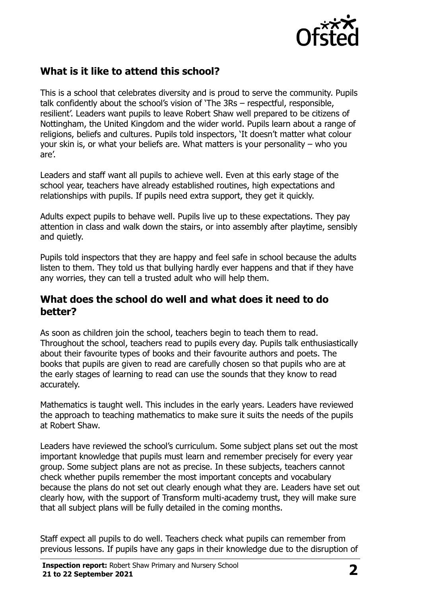

# **What is it like to attend this school?**

This is a school that celebrates diversity and is proud to serve the community. Pupils talk confidently about the school's vision of 'The 3Rs – respectful, responsible, resilient'. Leaders want pupils to leave Robert Shaw well prepared to be citizens of Nottingham, the United Kingdom and the wider world. Pupils learn about a range of religions, beliefs and cultures. Pupils told inspectors, 'It doesn't matter what colour your skin is, or what your beliefs are. What matters is your personality – who you are'.

Leaders and staff want all pupils to achieve well. Even at this early stage of the school year, teachers have already established routines, high expectations and relationships with pupils. If pupils need extra support, they get it quickly.

Adults expect pupils to behave well. Pupils live up to these expectations. They pay attention in class and walk down the stairs, or into assembly after playtime, sensibly and quietly.

Pupils told inspectors that they are happy and feel safe in school because the adults listen to them. They told us that bullying hardly ever happens and that if they have any worries, they can tell a trusted adult who will help them.

#### **What does the school do well and what does it need to do better?**

As soon as children join the school, teachers begin to teach them to read. Throughout the school, teachers read to pupils every day. Pupils talk enthusiastically about their favourite types of books and their favourite authors and poets. The books that pupils are given to read are carefully chosen so that pupils who are at the early stages of learning to read can use the sounds that they know to read accurately.

Mathematics is taught well. This includes in the early years. Leaders have reviewed the approach to teaching mathematics to make sure it suits the needs of the pupils at Robert Shaw.

Leaders have reviewed the school's curriculum. Some subject plans set out the most important knowledge that pupils must learn and remember precisely for every year group. Some subject plans are not as precise. In these subjects, teachers cannot check whether pupils remember the most important concepts and vocabulary because the plans do not set out clearly enough what they are. Leaders have set out clearly how, with the support of Transform multi-academy trust, they will make sure that all subject plans will be fully detailed in the coming months.

Staff expect all pupils to do well. Teachers check what pupils can remember from previous lessons. If pupils have any gaps in their knowledge due to the disruption of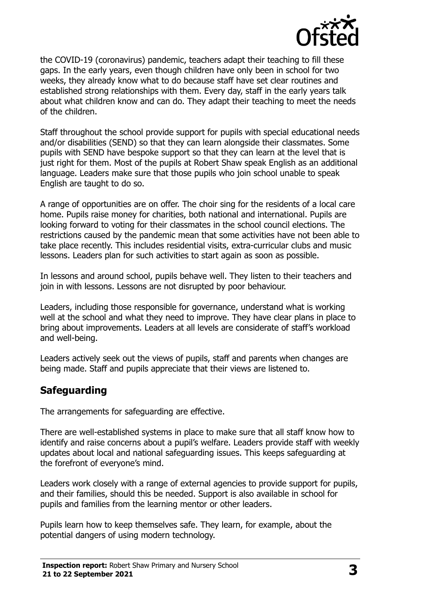

the COVID-19 (coronavirus) pandemic, teachers adapt their teaching to fill these gaps. In the early years, even though children have only been in school for two weeks, they already know what to do because staff have set clear routines and established strong relationships with them. Every day, staff in the early years talk about what children know and can do. They adapt their teaching to meet the needs of the children.

Staff throughout the school provide support for pupils with special educational needs and/or disabilities (SEND) so that they can learn alongside their classmates. Some pupils with SEND have bespoke support so that they can learn at the level that is just right for them. Most of the pupils at Robert Shaw speak English as an additional language. Leaders make sure that those pupils who join school unable to speak English are taught to do so.

A range of opportunities are on offer. The choir sing for the residents of a local care home. Pupils raise money for charities, both national and international. Pupils are looking forward to voting for their classmates in the school council elections. The restrictions caused by the pandemic mean that some activities have not been able to take place recently. This includes residential visits, extra-curricular clubs and music lessons. Leaders plan for such activities to start again as soon as possible.

In lessons and around school, pupils behave well. They listen to their teachers and join in with lessons. Lessons are not disrupted by poor behaviour.

Leaders, including those responsible for governance, understand what is working well at the school and what they need to improve. They have clear plans in place to bring about improvements. Leaders at all levels are considerate of staff's workload and well-being.

Leaders actively seek out the views of pupils, staff and parents when changes are being made. Staff and pupils appreciate that their views are listened to.

## **Safeguarding**

The arrangements for safeguarding are effective.

There are well-established systems in place to make sure that all staff know how to identify and raise concerns about a pupil's welfare. Leaders provide staff with weekly updates about local and national safeguarding issues. This keeps safeguarding at the forefront of everyone's mind.

Leaders work closely with a range of external agencies to provide support for pupils, and their families, should this be needed. Support is also available in school for pupils and families from the learning mentor or other leaders.

Pupils learn how to keep themselves safe. They learn, for example, about the potential dangers of using modern technology.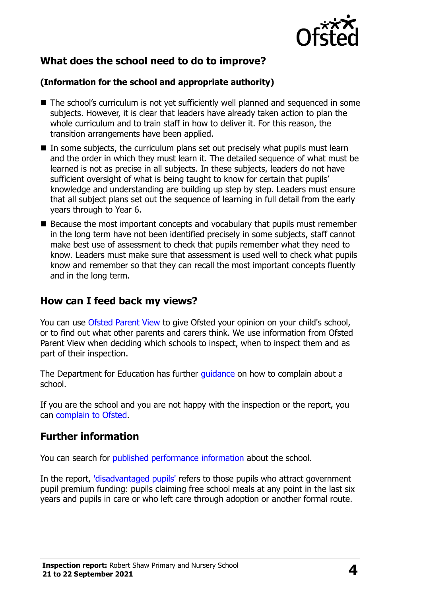

# **What does the school need to do to improve?**

#### **(Information for the school and appropriate authority)**

- The school's curriculum is not yet sufficiently well planned and sequenced in some subjects. However, it is clear that leaders have already taken action to plan the whole curriculum and to train staff in how to deliver it. For this reason, the transition arrangements have been applied.
- $\blacksquare$  In some subjects, the curriculum plans set out precisely what pupils must learn and the order in which they must learn it. The detailed sequence of what must be learned is not as precise in all subjects. In these subjects, leaders do not have sufficient oversight of what is being taught to know for certain that pupils' knowledge and understanding are building up step by step. Leaders must ensure that all subject plans set out the sequence of learning in full detail from the early years through to Year 6.
- Because the most important concepts and vocabulary that pupils must remember in the long term have not been identified precisely in some subjects, staff cannot make best use of assessment to check that pupils remember what they need to know. Leaders must make sure that assessment is used well to check what pupils know and remember so that they can recall the most important concepts fluently and in the long term.

## **How can I feed back my views?**

You can use [Ofsted Parent View](http://parentview.ofsted.gov.uk/) to give Ofsted your opinion on your child's school, or to find out what other parents and carers think. We use information from Ofsted Parent View when deciding which schools to inspect, when to inspect them and as part of their inspection.

The Department for Education has further quidance on how to complain about a school.

If you are the school and you are not happy with the inspection or the report, you can [complain to Ofsted.](http://www.gov.uk/complain-ofsted-report)

## **Further information**

You can search for [published performance information](http://www.compare-school-performance.service.gov.uk/) about the school.

In the report, ['disadvantaged pupils'](http://www.gov.uk/guidance/pupil-premium-information-for-schools-and-alternative-provision-settings) refers to those pupils who attract government pupil premium funding: pupils claiming free school meals at any point in the last six years and pupils in care or who left care through adoption or another formal route.

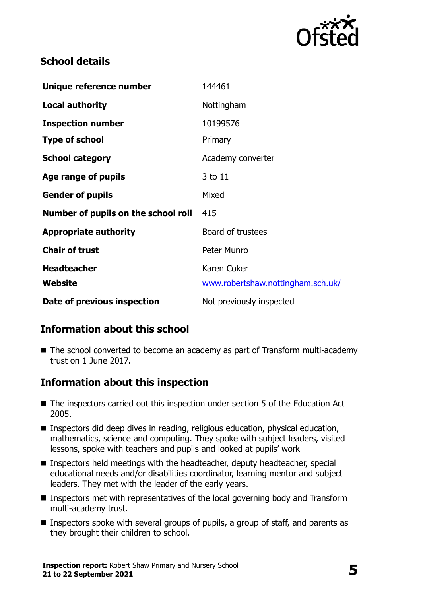

# **School details**

| Unique reference number             | 144461                            |
|-------------------------------------|-----------------------------------|
| <b>Local authority</b>              | Nottingham                        |
| <b>Inspection number</b>            | 10199576                          |
| <b>Type of school</b>               | Primary                           |
| <b>School category</b>              | Academy converter                 |
| Age range of pupils                 | 3 to 11                           |
| <b>Gender of pupils</b>             | Mixed                             |
| Number of pupils on the school roll | 415                               |
| <b>Appropriate authority</b>        | Board of trustees                 |
| <b>Chair of trust</b>               | Peter Munro                       |
| <b>Headteacher</b>                  | Karen Coker                       |
| Website                             | www.robertshaw.nottingham.sch.uk/ |
| Date of previous inspection         | Not previously inspected          |

# **Information about this school**

■ The school converted to become an academy as part of Transform multi-academy trust on 1 June 2017.

# **Information about this inspection**

- The inspectors carried out this inspection under section 5 of the Education Act 2005.
- Inspectors did deep dives in reading, religious education, physical education, mathematics, science and computing. They spoke with subject leaders, visited lessons, spoke with teachers and pupils and looked at pupils' work
- Inspectors held meetings with the headteacher, deputy headteacher, special educational needs and/or disabilities coordinator, learning mentor and subject leaders. They met with the leader of the early years.
- Inspectors met with representatives of the local governing body and Transform multi-academy trust.
- **Inspectors spoke with several groups of pupils, a group of staff, and parents as** they brought their children to school.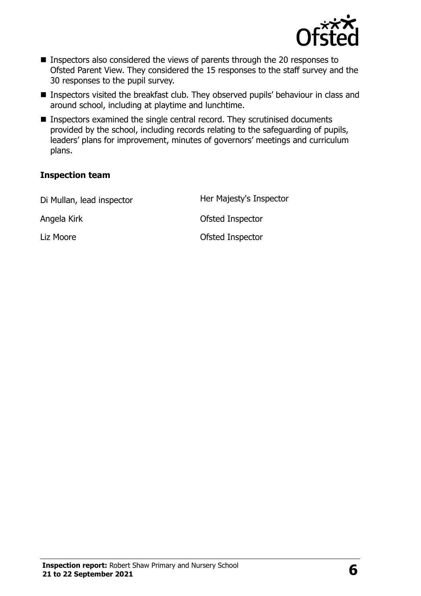

- Inspectors also considered the views of parents through the 20 responses to Ofsted Parent View. They considered the 15 responses to the staff survey and the 30 responses to the pupil survey.
- Inspectors visited the breakfast club. They observed pupils' behaviour in class and around school, including at playtime and lunchtime.
- Inspectors examined the single central record. They scrutinised documents provided by the school, including records relating to the safeguarding of pupils, leaders' plans for improvement, minutes of governors' meetings and curriculum plans.

#### **Inspection team**

| Di Mullan, lead inspector | Her Majesty's Inspector |
|---------------------------|-------------------------|
| Angela Kirk               | Ofsted Inspector        |
| Liz Moore                 | Ofsted Inspector        |